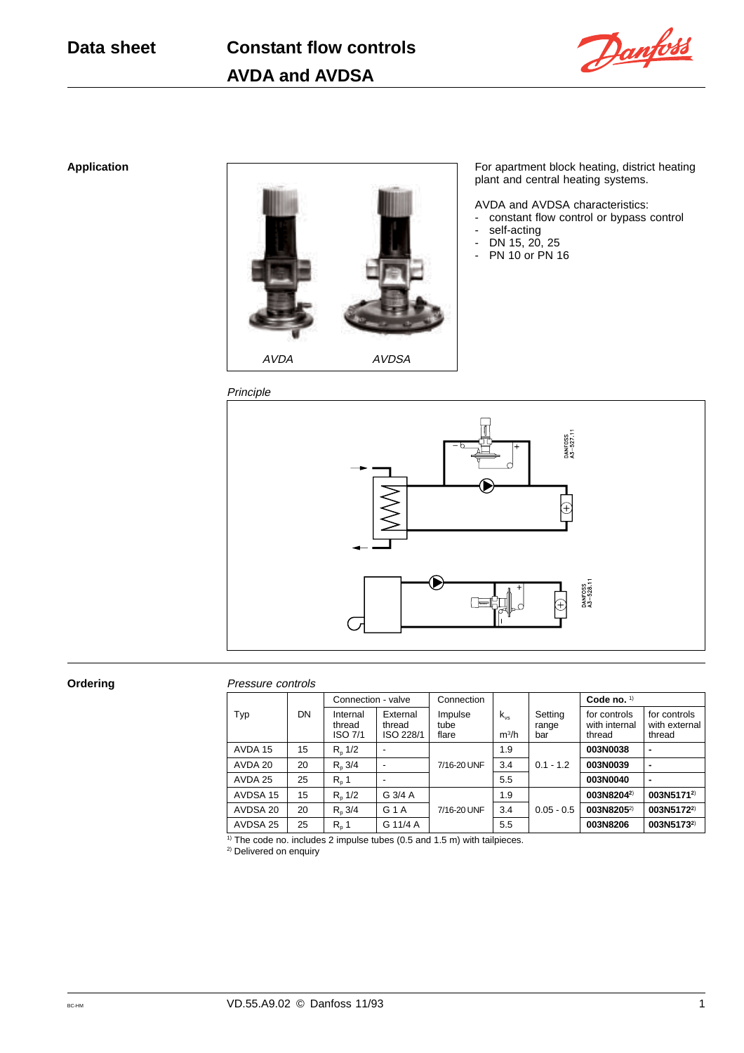



# Principle

plant and central heating systems.

AVDA and AVDSA characteristics:

- constant flow control or bypass control<br>salf-action
- self-acting
- $-DN$  15, 20, 25
- PN 10 or PN 16



## **Ordering** Pressure controls

|          |    | Connection - valve                   |                                 | Connection               |                     |                         | Code no. $1$                            |                                         |
|----------|----|--------------------------------------|---------------------------------|--------------------------|---------------------|-------------------------|-----------------------------------------|-----------------------------------------|
| Typ      | DN | Internal<br>thread<br><b>ISO 7/1</b> | External<br>thread<br>ISO 228/1 | Impulse<br>tube<br>flare | $k_{vs}$<br>$m^3/h$ | Setting<br>range<br>bar | for controls<br>with internal<br>thread | for controls<br>with external<br>thread |
| AVDA 15  | 15 | $R_n$ 1/2                            | $\overline{\phantom{a}}$        |                          | 1.9                 |                         | 003N0038                                | ۰                                       |
| AVDA 20  | 20 | $R_{n}$ 3/4                          | $\overline{\phantom{a}}$        | 7/16-20 UNF              | 3.4                 | $0.1 - 1.2$             | 003N0039                                | ۰                                       |
| AVDA 25  | 25 | $R_{n}$ 1                            | $\overline{\phantom{a}}$        |                          | 5.5                 |                         | 003N0040                                | ۰                                       |
| AVDSA 15 | 15 | $R_{p}$ 1/2                          | G 3/4 A                         |                          | 1.9                 |                         | 003N8204 <sup>2)</sup>                  | 003N5171 <sup>2)</sup>                  |
| AVDSA 20 | 20 | $R_{p}$ 3/4                          | G 1 A                           | 7/16-20 UNF              | 3.4                 | $0.05 - 0.5$            | 003N8205 <sup>2)</sup>                  | 003N5172 <sup>2)</sup>                  |
| AVDSA 25 | 25 | $R_{p}$ 1                            | G 11/4 A                        |                          | 5.5                 |                         | 003N8206                                | 003N5173 <sup>2)</sup>                  |

 $\frac{1}{1}$  The code no. includes 2 impulse tubes (0.5 and 1.5 m) with tailpieces.

<sup>2)</sup> Delivered on enquiry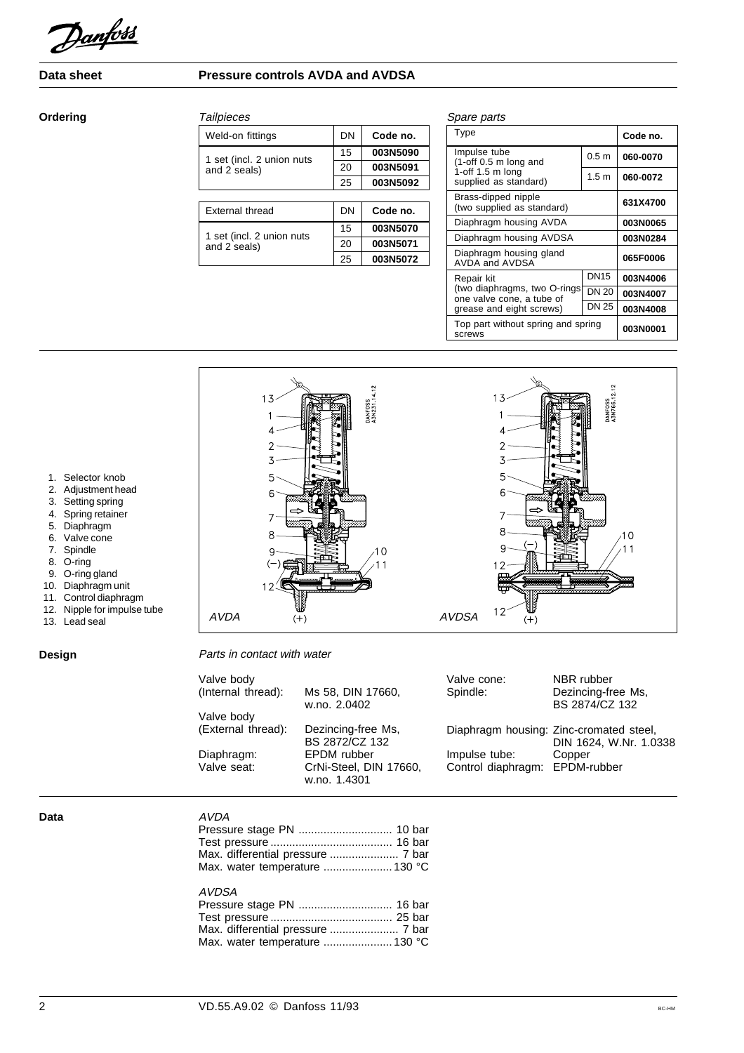Danfoss

1. Selector knob 2. Adjustment head 3. Setting spring 4. Spring retainer 5. Diaphragm 6. Valve cone 7. Spindle 8. O-ring 9. O-ring gland 10. Diaphragm unit 11. Control diaphragm 12. Nipple for impulse tube

# **Data sheet Pressure controls AVDA and AVDSA**

### **Ordering** Spare parts **Tailpieces Spare parts** Spare parts **Spare parts**

| DN        | Code no. |
|-----------|----------|
| 15        | 003N5090 |
| 20        | 003N5091 |
| 25        | 003N5092 |
|           |          |
| <b>DN</b> | Code no. |
| 15        | 003N5070 |
| 20        | 003N5071 |
| 25        | 003N5072 |
|           |          |

| <i>pare parts</i><br>Type                                  |                  |          |
|------------------------------------------------------------|------------------|----------|
|                                                            |                  | Code no. |
| Impulse tube<br>(1-off 0.5 m long and                      | 0.5 <sub>m</sub> | 060-0070 |
| 1-off $1.5$ m long<br>supplied as standard)                | 1.5 <sub>m</sub> | 060-0072 |
| Brass-dipped nipple<br>(two supplied as standard)          |                  | 631X4700 |
| Diaphragm housing AVDA                                     | 003N0065         |          |
| Diaphragm housing AVDSA                                    | 003N0284         |          |
| Diaphragm housing gland<br>AVDA and AVDSA                  | 065F0006         |          |
| Repair kit                                                 | <b>DN15</b>      | 003N4006 |
| (two diaphragms, two O-rings)<br>one valve cone, a tube of | <b>DN 20</b>     | 003N4007 |
| grease and eight screws)                                   | DN 25            | 003N4008 |
| Top part without spring and spring<br>screws               | 003N0001         |          |



## Parts in contact with water

| Valve body<br>(Internal thread): | Ms 58, DIN 17660,<br>w.no. 2.0402      | Valve cone:<br>Spindle:        | NBR rubber<br>Dezincing-free Ms,<br>BS 2874/CZ 132                |
|----------------------------------|----------------------------------------|--------------------------------|-------------------------------------------------------------------|
| Valve body                       |                                        |                                |                                                                   |
| (External thread):               | Dezincing-free Ms,<br>BS 2872/CZ 132   |                                | Diaphragm housing: Zinc-cromated steel,<br>DIN 1624, W.Nr. 1.0338 |
| Diaphragm:                       | EPDM rubber                            | Impulse tube:                  | Copper                                                            |
| Valve seat:                      | CrNi-Steel, DIN 17660,<br>w.no. 1.4301 | Control diaphragm: EPDM-rubber |                                                                   |

**Design**

# **Data** AVDA

| $\left( \frac{1}{2} \right)$ |  |
|------------------------------|--|

| AVDSA                             |  |
|-----------------------------------|--|
|                                   |  |
|                                   |  |
| Max. differential pressure  7 bar |  |
|                                   |  |
|                                   |  |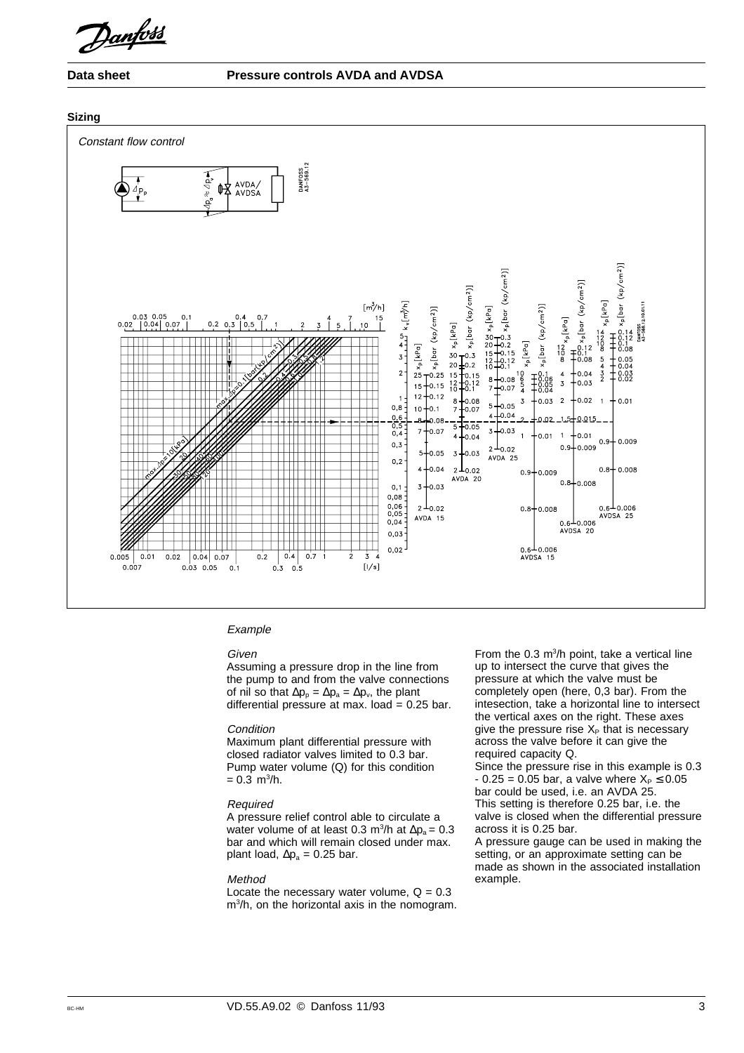Danfoss

**Sizing**



### Example

### Given

Assuming a pressure drop in the line from the pump to and from the valve connections of nil so that  $\Delta p_p = \Delta p_a = \Delta p_v$ , the plant differential pressure at max. load  $= 0.25$  bar.

### **Condition**

Maximum plant differential pressure with closed radiator valves limited to 0.3 bar. Pump water volume (Q) for this condition  $= 0.3$  m<sup>3</sup>/h.

### Required

A pressure relief control able to circulate a water volume of at least 0.3 m<sup>3</sup>/h at  $\Delta p_a = 0.3$ bar and which will remain closed under max. plant load,  $\Delta p_a = 0.25$  bar.

### Method

Locate the necessary water volume,  $Q = 0.3$ m3/h, on the horizontal axis in the nomogram.

From the  $0.3$  m<sup>3</sup>/h point, take a vertical line up to intersect the curve that gives the pressure at which the valve must be completely open (here, 0,3 bar). From the intesection, take a horizontal line to intersect the vertical axes on the right. These axes give the pressure rise  $X_P$  that is necessary across the valve before it can give the required capacity Q.

Since the pressure rise in this example is 0.3  $- 0.25 = 0.05$  bar, a valve where  $X_P \le 0.05$ bar could be used, i.e. an AVDA 25. This setting is therefore 0.25 bar, i.e. the valve is closed when the differential pressure across it is 0.25 bar.

A pressure gauge can be used in making the setting, or an approximate setting can be made as shown in the associated installation example.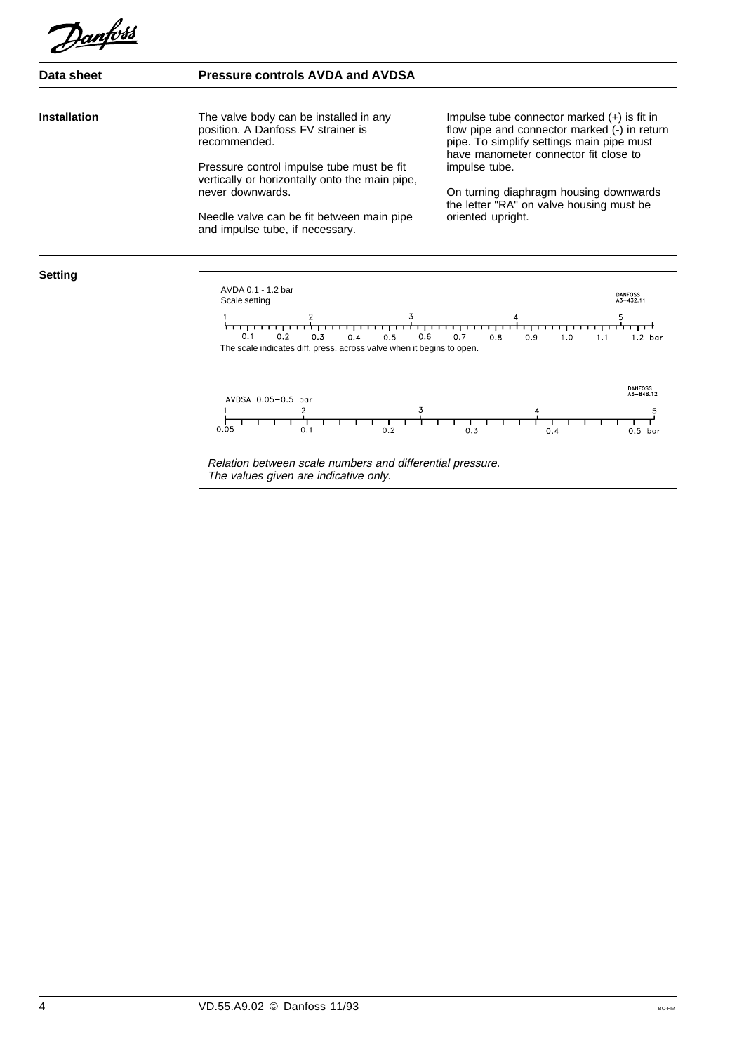Danfoss

# Data sheet **Pressure controls AVDA and AVDSA**

**Installation**

The valve body can be installed in any position. A Danfoss FV strainer is recommended.

Pressure control impulse tube must be fit vertically or horizontally onto the main pipe, never downwards.

Needle valve can be fit between main pipe and impulse tube, if necessary.

Impulse tube connector marked (+) is fit in flow pipe and connector marked (-) in return pipe. To simplify settings main pipe must have manometer connector fit close to impulse tube.

On turning diaphragm housing downwards the letter "RA" on valve housing must be oriented upright.

## **Setting**

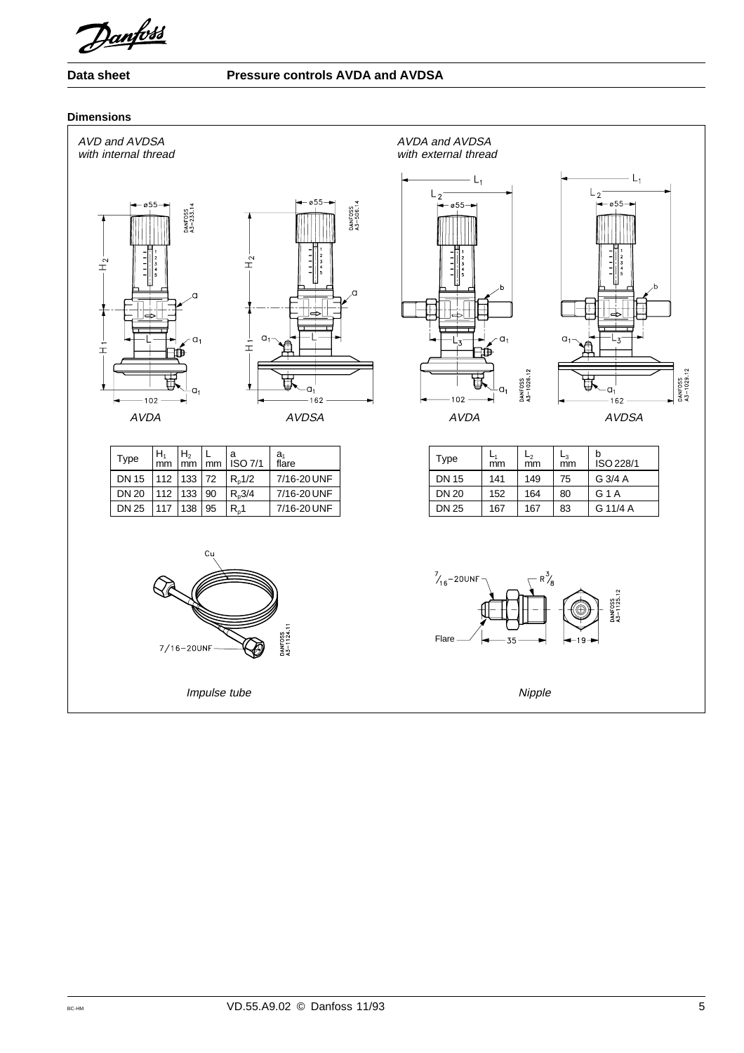Danfoss

# **Data sheet Pressure controls AVDA and AVDSA**

# **Dimensions**

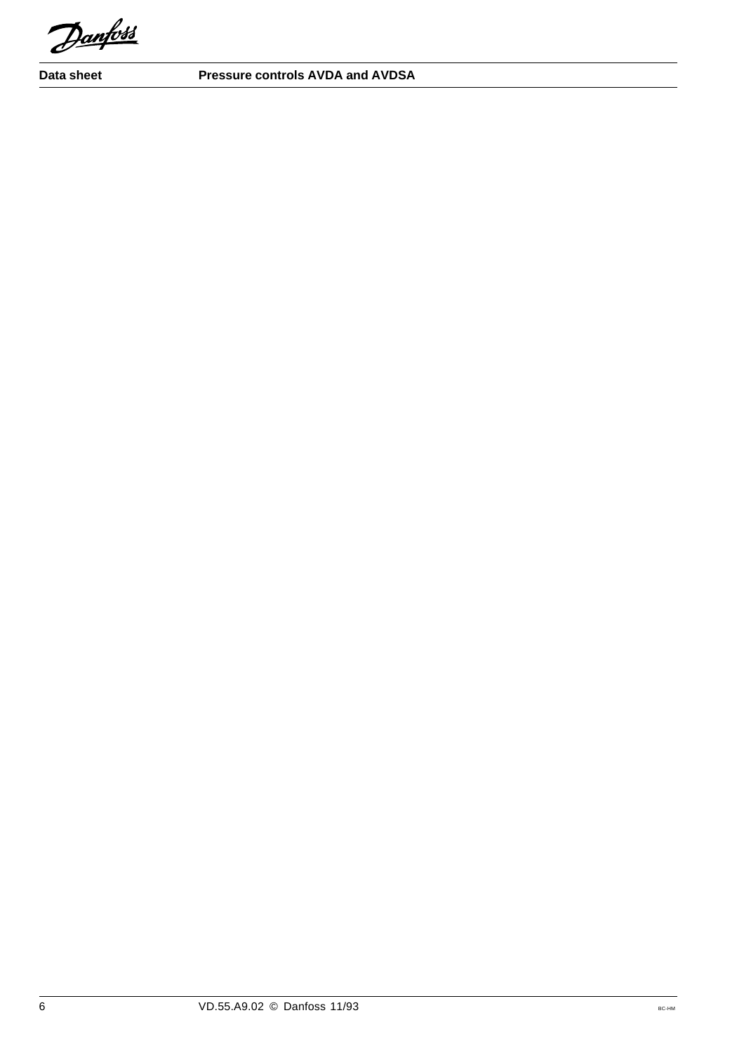Danfoss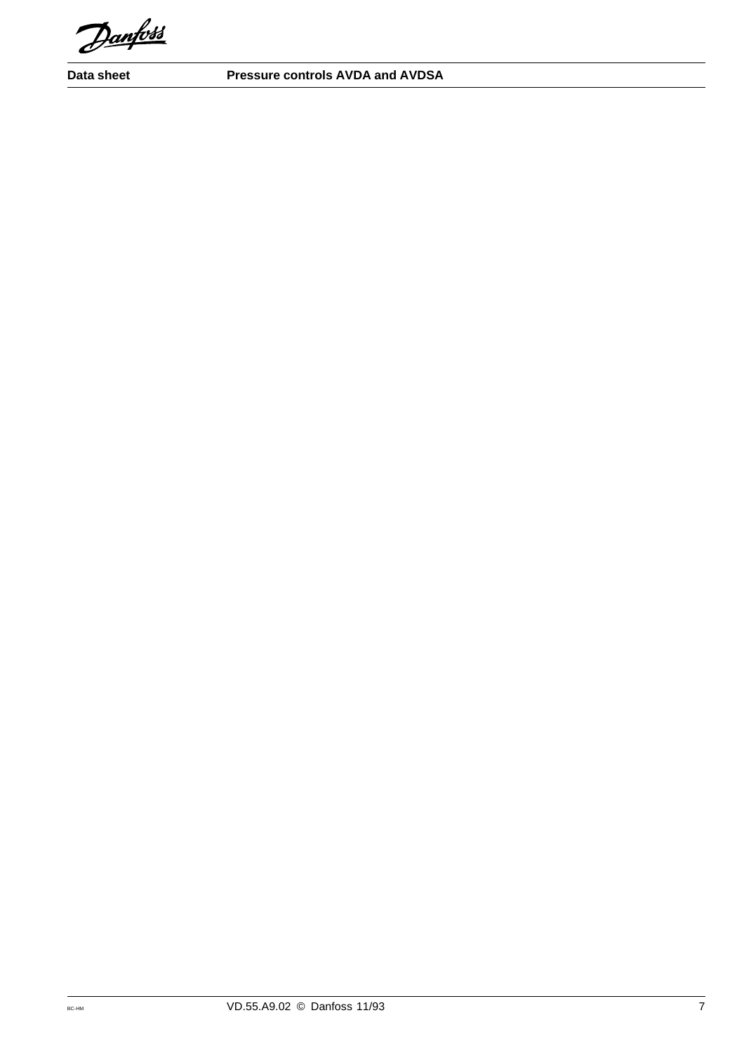Danfoss